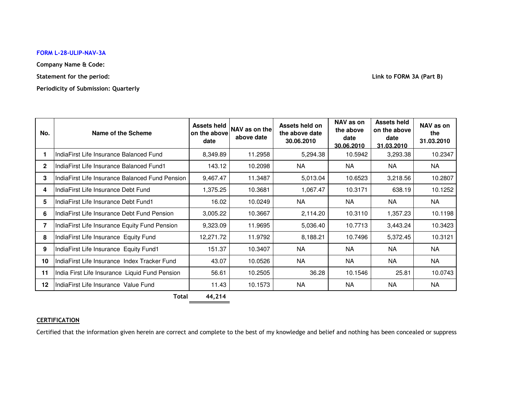## **FORM L-28-ULIP-NAV-3A**

**Company Name & Code:**

**Statement for the period:**

**Periodicity of Submission: Quarterly**

**Link to FORM 3A (Part B)**

| No.     | Name of the Scheme                              | <b>Assets held</b><br>on the above<br>date | NAV as on the<br>above date | Assets held on<br>the above date<br>30.06.2010 | NAV as on<br>the above<br>date<br>30.06.2010 | <b>Assets held</b><br>on the above<br>date<br>31.03.2010 | NAV as on<br>the<br>31.03.2010 |
|---------|-------------------------------------------------|--------------------------------------------|-----------------------------|------------------------------------------------|----------------------------------------------|----------------------------------------------------------|--------------------------------|
|         | IndiaFirst Life Insurance Balanced Fund         | 8,349.89                                   | 11.2958                     | 5,294.38                                       | 10.5942                                      | 3,293.38                                                 | 10.2347                        |
| 2       | IndiaFirst Life Insurance Balanced Fund1        | 143.12                                     | 10.2098                     | <b>NA</b>                                      | <b>NA</b>                                    | NA.                                                      | <b>NA</b>                      |
| 3       | IndiaFirst Life Insurance Balanced Fund Pension | 9,467.47                                   | 11.3487                     | 5,013.04                                       | 10.6523                                      | 3,218.56                                                 | 10.2807                        |
| 4       | IndiaFirst Life Insurance Debt Fund             | 1,375.25                                   | 10.3681                     | 1,067.47                                       | 10.3171                                      | 638.19                                                   | 10.1252                        |
| 5       | IndiaFirst Life Insurance Debt Fund1            | 16.02                                      | 10.0249                     | NA                                             | NA                                           | NA                                                       | NA                             |
| 6       | IndiaFirst Life Insurance Debt Fund Pension     | 3,005.22                                   | 10.3667                     | 2,114.20                                       | 10.3110                                      | 1,357.23                                                 | 10.1198                        |
| 7       | IndiaFirst Life Insurance Equity Fund Pension   | 9,323.09                                   | 11.9695                     | 5,036.40                                       | 10.7713                                      | 3,443.24                                                 | 10.3423                        |
| 8       | IndiaFirst Life Insurance Equity Fund           | 12,271.72                                  | 11.9792                     | 8,188.21                                       | 10.7496                                      | 5,372.45                                                 | 10.3121                        |
| 9       | IndiaFirst Life Insurance Equity Fund1          | 151.37                                     | 10.3407                     | <b>NA</b>                                      | <b>NA</b>                                    | NA.                                                      | <b>NA</b>                      |
| 10      | IndiaFirst Life Insurance Index Tracker Fund    | 43.07                                      | 10.0526                     | <b>NA</b>                                      | <b>NA</b>                                    | <b>NA</b>                                                | <b>NA</b>                      |
| 11      | India First Life Insurance Liquid Fund Pension  | 56.61                                      | 10.2505                     | 36.28                                          | 10.1546                                      | 25.81                                                    | 10.0743                        |
| $12 \,$ | IndiaFirst Life Insurance Value Fund            | 11.43                                      | 10.1573                     | <b>NA</b>                                      | <b>NA</b>                                    | <b>NA</b>                                                | <b>NA</b>                      |

**Total 44,214**

## **CERTIFICATION**

Certified that the information given herein are correct and complete to the best of my knowledge and belief and nothing has been concealed or suppress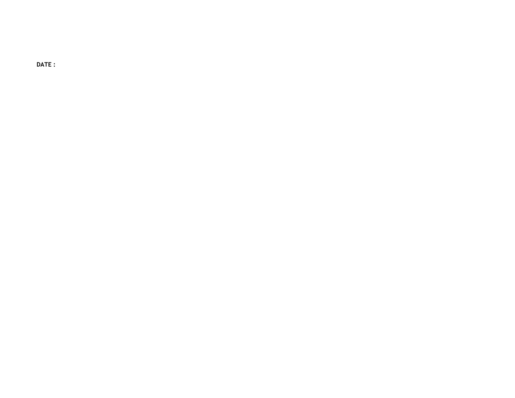**DATE :**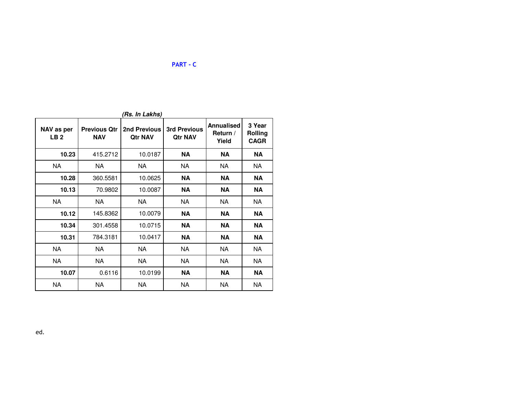| NAV as per<br>LB <sub>2</sub> | <b>Previous Qtr</b><br><b>NAV</b> | 2nd Previous<br><b>Qtr NAV</b> | <b>3rd Previous</b><br><b>Qtr NAV</b> | <b>Annualised</b><br>Return /<br>Yield | 3 Year<br><b>Rolling</b><br><b>CAGR</b> |
|-------------------------------|-----------------------------------|--------------------------------|---------------------------------------|----------------------------------------|-----------------------------------------|
| 10.23                         | 415.2712                          | 10.0187                        | <b>NA</b>                             | NA                                     | <b>NA</b>                               |
| NA.                           | NA.                               | NA.                            | NA.                                   | <b>NA</b>                              | NA.                                     |
| 10.28                         | 360.5581                          | 10.0625                        | ΝA                                    | NA                                     | <b>NA</b>                               |
| 10.13                         | 70.9802                           | 10.0087                        | <b>NA</b>                             | <b>NA</b>                              | NA                                      |
| NA.                           | NA                                | NA                             | <b>NA</b>                             | NA.                                    | NA.                                     |
| 10.12                         | 145.8362                          | 10.0079                        | <b>NA</b>                             | <b>NA</b>                              | <b>NA</b>                               |
| 10.34                         | 301.4558                          | 10.0715                        | NA                                    | <b>NA</b>                              | <b>NA</b>                               |
| 10.31                         | 784.3181                          | 10.0417                        | NA                                    | NA                                     | NA                                      |
| <b>NA</b>                     | NA                                | NA.                            | <b>NA</b>                             | NA.                                    | NA.                                     |
| <b>NA</b>                     | NA                                | <b>NA</b>                      | <b>NA</b>                             | NA.                                    | <b>NA</b>                               |
| 10.07                         | 0.6116                            | 10.0199                        | <b>NA</b>                             | NA                                     | ΝA                                      |
| <b>NA</b>                     | NА                                | NA                             | <b>NA</b>                             | <b>NA</b>                              | <b>NA</b>                               |

**PART - C**